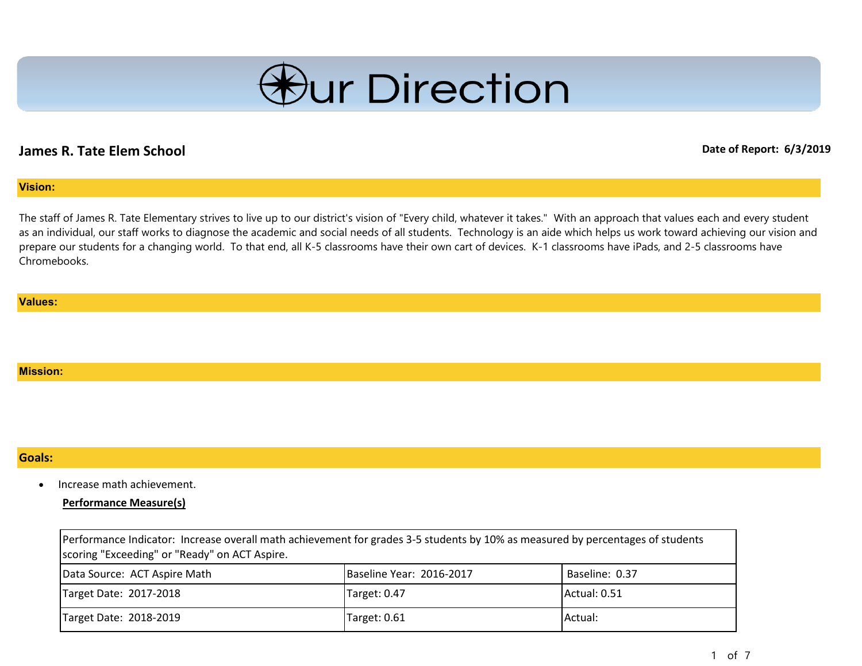

# **James R. Tate Elem School Date of Report: 6/3/2019**

## **Vision:**

The staff of James R. Tate Elementary strives to live up to our district's vision of "Every child, whatever it takes." With an approach that values each and every student as an individual, our staff works to diagnose the academic and social needs of all students. Technology is an aide which helps us work toward achieving our vision and prepare our students for a changing world. To that end, all K-5 classrooms have their own cart of devices. K-1 classrooms have iPads, and 2-5 classrooms have Chromebooks.

#### **Values:**

### **Mission:**

### **Goals:**

• Increase math achievement.

## **Performance Measure(s)**

| Performance Indicator: Increase overall math achievement for grades 3-5 students by 10% as measured by percentages of students<br>scoring "Exceeding" or "Ready" on ACT Aspire. |                          |                |
|---------------------------------------------------------------------------------------------------------------------------------------------------------------------------------|--------------------------|----------------|
| Data Source: ACT Aspire Math                                                                                                                                                    | Baseline Year: 2016-2017 | Baseline: 0.37 |
| Target Date: 2017-2018                                                                                                                                                          | Target: 0.47             | Actual: 0.51   |
| Target Date: 2018-2019                                                                                                                                                          | Target: 0.61             | Actual:        |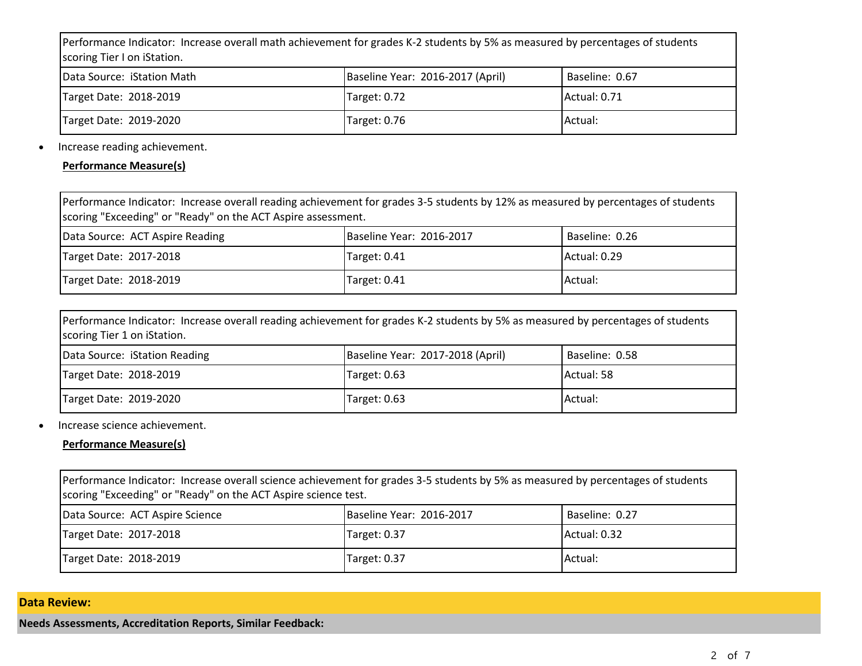Performance Indicator: Increase overall math achievement for grades K-2 students by 5% as measured by percentages of students scoring Tier I on iStation.

| Data Source: iStation Math | Baseline Year: 2016-2017 (April) | Baseline: 0.67 |
|----------------------------|----------------------------------|----------------|
| Target Date: 2018-2019     | Target: 0.72                     | Actual: 0.71   |
| Target Date: 2019-2020     | Target: 0.76                     | Actual:        |

## • Increase reading achievement.

**Performance Measure(s)**

| Performance Indicator: Increase overall reading achievement for grades 3-5 students by 12% as measured by percentages of students<br>scoring "Exceeding" or "Ready" on the ACT Aspire assessment. |                          |                |
|---------------------------------------------------------------------------------------------------------------------------------------------------------------------------------------------------|--------------------------|----------------|
| Data Source: ACT Aspire Reading                                                                                                                                                                   | Baseline Year: 2016-2017 | Baseline: 0.26 |
| Target Date: 2017-2018                                                                                                                                                                            | Target: 0.41             | Actual: 0.29   |
| Target Date: 2018-2019                                                                                                                                                                            | Target: 0.41             | Actual:        |

| Performance Indicator: Increase overall reading achievement for grades K-2 students by 5% as measured by percentages of students |  |
|----------------------------------------------------------------------------------------------------------------------------------|--|
| scoring Tier 1 on iStation.                                                                                                      |  |
|                                                                                                                                  |  |

| Data Source: iStation Reading | Baseline Year: 2017-2018 (April) | Baseline: 0.58 |
|-------------------------------|----------------------------------|----------------|
| Target Date: 2018-2019        | ITarget: 0.63                    | Actual: 58     |
| Target Date: 2019-2020        | Target: 0.63                     | Actual:        |

## • Increase science achievement.

## **Performance Measure(s)**

| Performance Indicator: Increase overall science achievement for grades 3-5 students by 5% as measured by percentages of students<br>scoring "Exceeding" or "Ready" on the ACT Aspire science test. |                          |                |
|----------------------------------------------------------------------------------------------------------------------------------------------------------------------------------------------------|--------------------------|----------------|
| Data Source: ACT Aspire Science                                                                                                                                                                    | Baseline Year: 2016-2017 | Baseline: 0.27 |
| Target Date: 2017-2018                                                                                                                                                                             | Target: 0.37             | Actual: 0.32   |
| Target Date: 2018-2019                                                                                                                                                                             | Target: 0.37             | Actual:        |

## **Data Review:**

**Needs Assessments, Accreditation Reports, Similar Feedback:**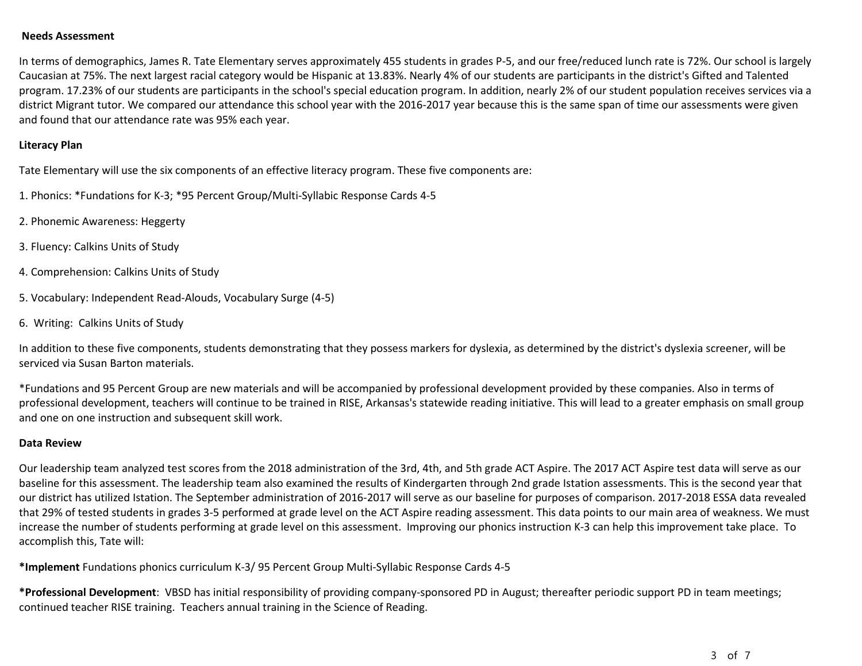### **Needs Assessment**

In terms of demographics, James R. Tate Elementary serves approximately 455 students in grades P-5, and our free/reduced lunch rate is 72%. Our school is largely Caucasian at 75%. The next largest racial category would be Hispanic at 13.83%. Nearly 4% of our students are participants in the district's Gifted and Talented program. 17.23% of our students are participants in the school's special education program. In addition, nearly 2% of our student population receives services via a district Migrant tutor. We compared our attendance this school year with the 2016-2017 year because this is the same span of time our assessments were given and found that our attendance rate was 95% each year.

## **Literacy Plan**

Tate Elementary will use the six components of an effective literacy program. These five components are:

- 1. Phonics: \*Fundations for K-3; \*95 Percent Group/Multi-Syllabic Response Cards 4-5
- 2. Phonemic Awareness: Heggerty
- 3. Fluency: Calkins Units of Study
- 4. Comprehension: Calkins Units of Study
- 5. Vocabulary: Independent Read-Alouds, Vocabulary Surge (4-5)
- 6. Writing: Calkins Units of Study

In addition to these five components, students demonstrating that they possess markers for dyslexia, as determined by the district's dyslexia screener, will be serviced via Susan Barton materials.

\*Fundations and 95 Percent Group are new materials and will be accompanied by professional development provided by these companies. Also in terms of professional development, teachers will continue to be trained in RISE, Arkansas's statewide reading initiative. This will lead to a greater emphasis on small group and one on one instruction and subsequent skill work.

## **Data Review**

Our leadership team analyzed test scores from the 2018 administration of the 3rd, 4th, and 5th grade ACT Aspire. The 2017 ACT Aspire test data will serve as our baseline for this assessment. The leadership team also examined the results of Kindergarten through 2nd grade Istation assessments. This is the second year that our district has utilized Istation. The September administration of 2016-2017 will serve as our baseline for purposes of comparison. 2017-2018 ESSA data revealed that 29% of tested students in grades 3-5 performed at grade level on the ACT Aspire reading assessment. This data points to our main area of weakness. We must increase the number of students performing at grade level on this assessment. Improving our phonics instruction K-3 can help this improvement take place. To accomplish this, Tate will:

**\*Implement** Fundations phonics curriculum K-3/ 95 Percent Group Multi-Syllabic Response Cards 4-5

**\*Professional Development**: VBSD has initial responsibility of providing company-sponsored PD in August; thereafter periodic support PD in team meetings; continued teacher RISE training. Teachers annual training in the Science of Reading.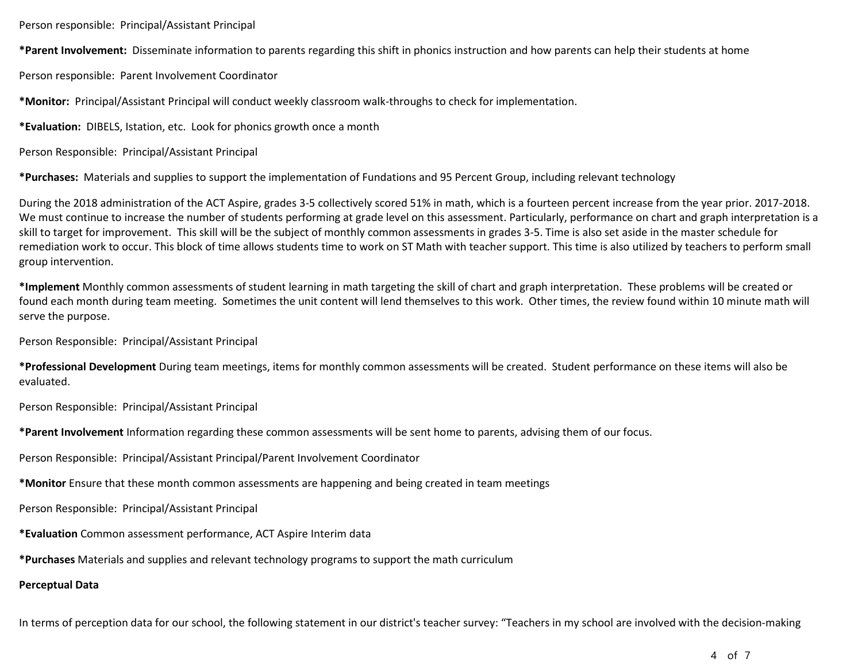Person responsible: Principal/Assistant Principal

**\*Parent Involvement:** Disseminate information to parents regarding this shift in phonics instruction and how parents can help their students at home

Person responsible: Parent Involvement Coordinator

**\*Monitor:** Principal/Assistant Principal will conduct weekly classroom walk-throughs to check for implementation.

**\*Evaluation:** DIBELS, Istation, etc. Look for phonics growth once a month

Person Responsible: Principal/Assistant Principal

**\*Purchases:** Materials and supplies to support the implementation of Fundations and 95 Percent Group, including relevant technology

During the 2018 administration of the ACT Aspire, grades 3-5 collectively scored 51% in math, which is a fourteen percent increase from the year prior. 2017-2018. We must continue to increase the number of students performing at grade level on this assessment. Particularly, performance on chart and graph interpretation is a skill to target for improvement. This skill will be the subject of monthly common assessments in grades 3-5. Time is also set aside in the master schedule for remediation work to occur. This block of time allows students time to work on ST Math with teacher support. This time is also utilized by teachers to perform small group intervention.

**\*Implement** Monthly common assessments of student learning in math targeting the skill of chart and graph interpretation. These problems will be created or found each month during team meeting. Sometimes the unit content will lend themselves to this work. Other times, the review found within 10 minute math will serve the purpose.

Person Responsible: Principal/Assistant Principal

**\*Professional Development** During team meetings, items for monthly common assessments will be created. Student performance on these items will also be evaluated.

Person Responsible: Principal/Assistant Principal

**\*Parent Involvement** Information regarding these common assessments will be sent home to parents, advising them of our focus.

Person Responsible: Principal/Assistant Principal/Parent Involvement Coordinator

**\*Monitor** Ensure that these month common assessments are happening and being created in team meetings

Person Responsible: Principal/Assistant Principal

**\*Evaluation** Common assessment performance, ACT Aspire Interim data

**\*Purchases** Materials and supplies and relevant technology programs to support the math curriculum

## **Perceptual Data**

In terms of perception data for our school, the following statement in our district's teacher survey: "Teachers in my school are involved with the decision-making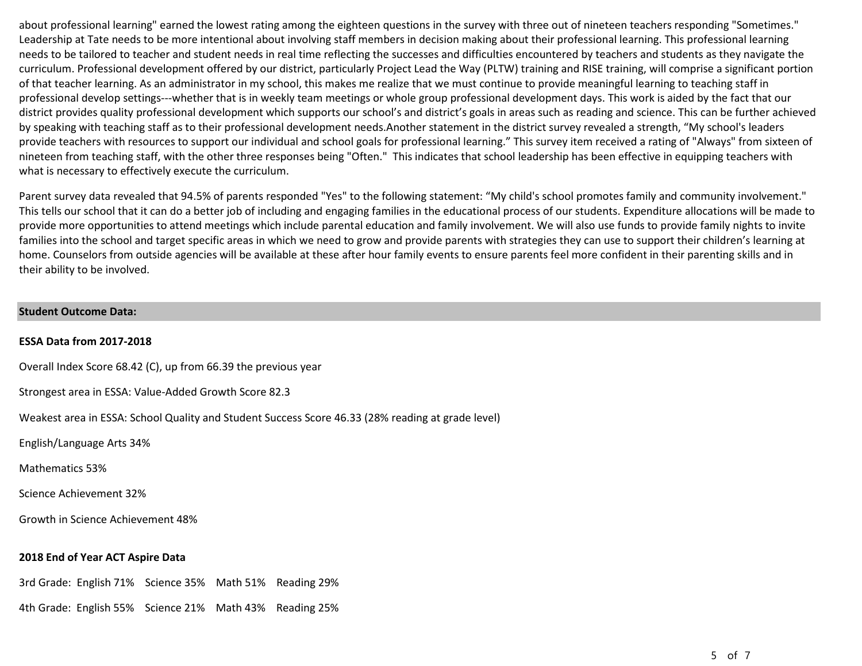about professional learning" earned the lowest rating among the eighteen questions in the survey with three out of nineteen teachers responding "Sometimes." Leadership at Tate needs to be more intentional about involving staff members in decision making about their professional learning. This professional learning needs to be tailored to teacher and student needs in real time reflecting the successes and difficulties encountered by teachers and students as they navigate the curriculum. Professional development offered by our district, particularly Project Lead the Way (PLTW) training and RISE training, will comprise a significant portion of that teacher learning. As an administrator in my school, this makes me realize that we must continue to provide meaningful learning to teaching staff in professional develop settings---whether that is in weekly team meetings or whole group professional development days. This work is aided by the fact that our district provides quality professional development which supports our school's and district's goals in areas such as reading and science. This can be further achieved by speaking with teaching staff as to their professional development needs.Another statement in the district survey revealed a strength, "My school's leaders provide teachers with resources to support our individual and school goals for professional learning." This survey item received a rating of "Always" from sixteen of nineteen from teaching staff, with the other three responses being "Often." This indicates that school leadership has been effective in equipping teachers with what is necessary to effectively execute the curriculum.

Parent survey data revealed that 94.5% of parents responded "Yes" to the following statement: "My child's school promotes family and community involvement." This tells our school that it can do a better job of including and engaging families in the educational process of our students. Expenditure allocations will be made to provide more opportunities to attend meetings which include parental education and family involvement. We will also use funds to provide family nights to invite families into the school and target specific areas in which we need to grow and provide parents with strategies they can use to support their children's learning at home. Counselors from outside agencies will be available at these after hour family events to ensure parents feel more confident in their parenting skills and in their ability to be involved.

#### **Student Outcome Data:**

### **ESSA Data from 2017-2018**

Overall Index Score 68.42 (C), up from 66.39 the previous year

Strongest area in ESSA: Value-Added Growth Score 82.3

Weakest area in ESSA: School Quality and Student Success Score 46.33 (28% reading at grade level)

English/Language Arts 34%

Mathematics 53%

Science Achievement 32%

Growth in Science Achievement 48%

## **2018 End of Year ACT Aspire Data**

3rd Grade: English 71% Science 35% Math 51% Reading 29%

4th Grade: English 55% Science 21% Math 43% Reading 25%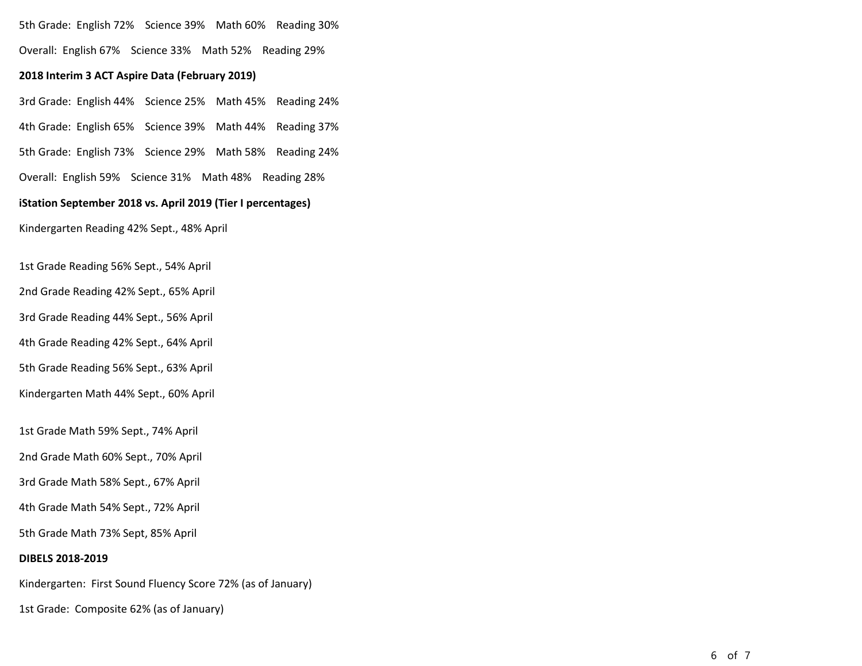5th Grade: English 72% Science 39% Math 60% Reading 30%

Overall: English 67% Science 33% Math 52% Reading 29%

### **2018 Interim 3 ACT Aspire Data (February 2019)**

3rd Grade: English 44% Science 25% Math 45% Reading 24% 4th Grade: English 65% Science 39% Math 44% Reading 37%

5th Grade: English 73% Science 29% Math 58% Reading 24%

Overall: English 59% Science 31% Math 48% Reading 28%

### **iStation September 2018 vs. April 2019 (Tier I percentages)**

Kindergarten Reading 42% Sept., 48% April

1st Grade Reading 56% Sept., 54% April

2nd Grade Reading 42% Sept., 65% April

3rd Grade Reading 44% Sept., 56% April

4th Grade Reading 42% Sept., 64% April

5th Grade Reading 56% Sept., 63% April

Kindergarten Math 44% Sept., 60% April

1st Grade Math 59% Sept., 74% April

2nd Grade Math 60% Sept., 70% April

3rd Grade Math 58% Sept., 67% April

4th Grade Math 54% Sept., 72% April

5th Grade Math 73% Sept, 85% April

### **DIBELS 2018-2019**

Kindergarten: First Sound Fluency Score 72% (as of January)

1st Grade: Composite 62% (as of January)